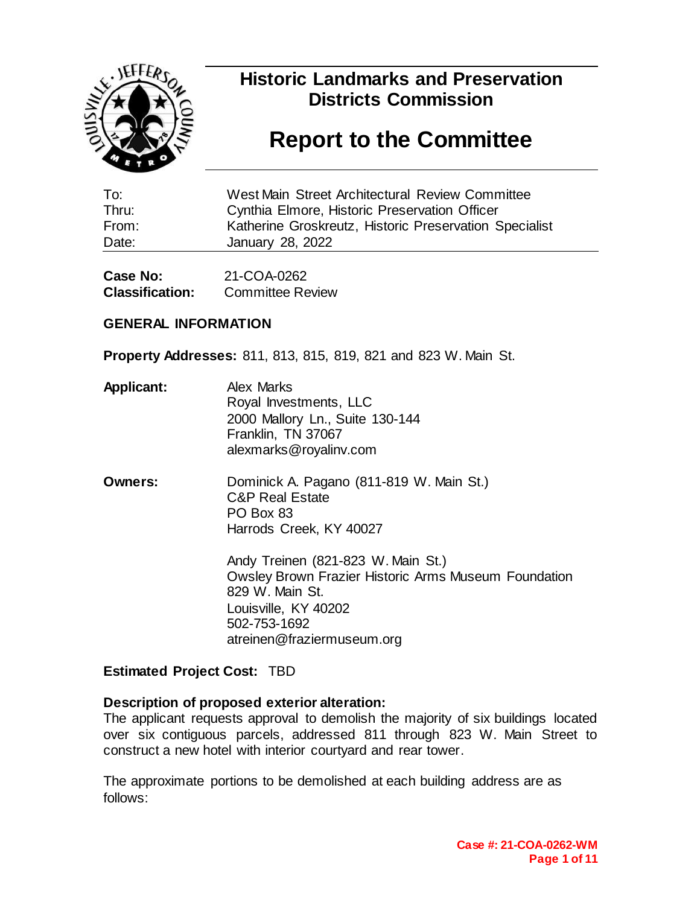

### **Historic Landmarks and Preservation Districts Commission**

### **Report to the Committee**

| To:   | West Main Street Architectural Review Committee        |
|-------|--------------------------------------------------------|
| Thru: | Cynthia Elmore, Historic Preservation Officer          |
| From: | Katherine Groskreutz, Historic Preservation Specialist |
| Date: | January 28, 2022                                       |

| Case No:               | 21-COA-0262             |  |  |  |
|------------------------|-------------------------|--|--|--|
| <b>Classification:</b> | <b>Committee Review</b> |  |  |  |

#### **GENERAL INFORMATION**

**Property Addresses:** 811, 813, 815, 819, 821 and 823 W. Main St.

- **Applicant:** Alex Marks Royal Investments, LLC 2000 Mallory Ln., Suite 130-144 Franklin, TN 37067 alexmarks@royalinv.com
- **Owners:** Dominick A. Pagano (811-819 W. Main St.) C&P Real Estate PO Box 83 Harrods Creek, KY 40027

Andy Treinen (821-823 W. Main St.) Owsley Brown Frazier Historic Arms Museum Foundation 829 W. Main St. Louisville, KY 40202 502-753-1692 atreinen@fraziermuseum.org

#### **Estimated Project Cost:** TBD

#### **Description of proposed exterior alteration:**

The applicant requests approval to demolish the majority of six buildings located over six contiguous parcels, addressed 811 through 823 W. Main Street to construct a new hotel with interior courtyard and rear tower.

The approximate portions to be demolished at each building address are as follows: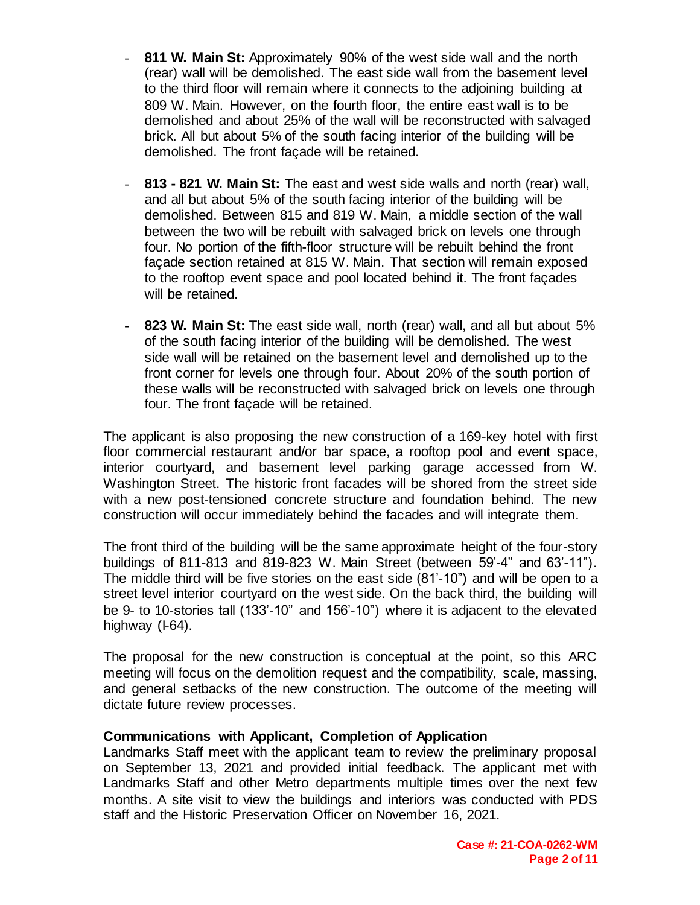- **811 W. Main St:** Approximately 90% of the west side wall and the north (rear) wall will be demolished. The east side wall from the basement level to the third floor will remain where it connects to the adjoining building at 809 W. Main. However, on the fourth floor, the entire east wall is to be demolished and about 25% of the wall will be reconstructed with salvaged brick. All but about 5% of the south facing interior of the building will be demolished. The front façade will be retained.
- **813 - 821 W. Main St:** The east and west side walls and north (rear) wall, and all but about 5% of the south facing interior of the building will be demolished. Between 815 and 819 W. Main, a middle section of the wall between the two will be rebuilt with salvaged brick on levels one through four. No portion of the fifth-floor structure will be rebuilt behind the front façade section retained at 815 W. Main. That section will remain exposed to the rooftop event space and pool located behind it. The front façades will be retained.
- **823 W. Main St:** The east side wall, north (rear) wall, and all but about 5% of the south facing interior of the building will be demolished. The west side wall will be retained on the basement level and demolished up to the front corner for levels one through four. About 20% of the south portion of these walls will be reconstructed with salvaged brick on levels one through four. The front façade will be retained.

The applicant is also proposing the new construction of a 169-key hotel with first floor commercial restaurant and/or bar space, a rooftop pool and event space, interior courtyard, and basement level parking garage accessed from W. Washington Street. The historic front facades will be shored from the street side with a new post-tensioned concrete structure and foundation behind. The new construction will occur immediately behind the facades and will integrate them.

The front third of the building will be the same approximate height of the four-story buildings of 811-813 and 819-823 W. Main Street (between 59'-4" and 63'-11"). The middle third will be five stories on the east side (81'-10") and will be open to a street level interior courtyard on the west side. On the back third, the building will be 9- to 10-stories tall (133'-10" and 156'-10") where it is adjacent to the elevated highway (I-64).

The proposal for the new construction is conceptual at the point, so this ARC meeting will focus on the demolition request and the compatibility, scale, massing, and general setbacks of the new construction. The outcome of the meeting will dictate future review processes.

#### **Communications with Applicant, Completion of Application**

Landmarks Staff meet with the applicant team to review the preliminary proposal on September 13, 2021 and provided initial feedback. The applicant met with Landmarks Staff and other Metro departments multiple times over the next few months. A site visit to view the buildings and interiors was conducted with PDS staff and the Historic Preservation Officer on November 16, 2021.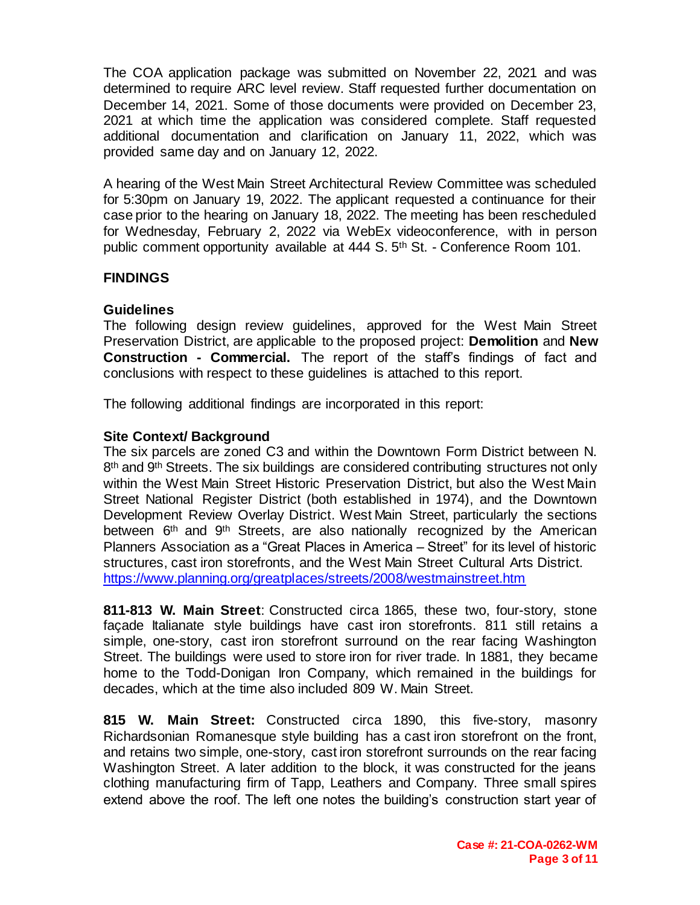The COA application package was submitted on November 22, 2021 and was determined to require ARC level review. Staff requested further documentation on December 14, 2021. Some of those documents were provided on December 23, 2021 at which time the application was considered complete. Staff requested additional documentation and clarification on January 11, 2022, which was provided same day and on January 12, 2022.

A hearing of the West Main Street Architectural Review Committee was scheduled for 5:30pm on January 19, 2022. The applicant requested a continuance for their case prior to the hearing on January 18, 2022. The meeting has been rescheduled for Wednesday, February 2, 2022 via WebEx videoconference, with in person public comment opportunity available at 444 S. 5<sup>th</sup> St. - Conference Room 101.

#### **FINDINGS**

#### **Guidelines**

The following design review guidelines, approved for the West Main Street Preservation District, are applicable to the proposed project: **Demolition** and **New Construction - Commercial.** The report of the staff's findings of fact and conclusions with respect to these guidelines is attached to this report.

The following additional findings are incorporated in this report:

#### **Site Context/ Background**

The six parcels are zoned C3 and within the Downtown Form District between N.  $8<sup>th</sup>$  and  $9<sup>th</sup>$  Streets. The six buildings are considered contributing structures not only within the West Main Street Historic Preservation District, but also the West Main Street National Register District (both established in 1974), and the Downtown Development Review Overlay District. West Main Street, particularly the sections between 6<sup>th</sup> and 9<sup>th</sup> Streets, are also nationally recognized by the American Planners Association as a "Great Places in America – Street" for its level of historic structures, cast iron storefronts, and the West Main Street Cultural Arts District. <https://www.planning.org/greatplaces/streets/2008/westmainstreet.htm>

**811-813 W. Main Street**: Constructed circa 1865, these two, four-story, stone façade Italianate style buildings have cast iron storefronts. 811 still retains a simple, one-story, cast iron storefront surround on the rear facing Washington Street. The buildings were used to store iron for river trade. In 1881, they became home to the Todd-Donigan Iron Company, which remained in the buildings for decades, which at the time also included 809 W. Main Street.

**815 W. Main Street:** Constructed circa 1890, this five-story, masonry Richardsonian Romanesque style building has a cast iron storefront on the front, and retains two simple, one-story, cast iron storefront surrounds on the rear facing Washington Street. A later addition to the block, it was constructed for the jeans clothing manufacturing firm of Tapp, Leathers and Company. Three small spires extend above the roof. The left one notes the building's construction start year of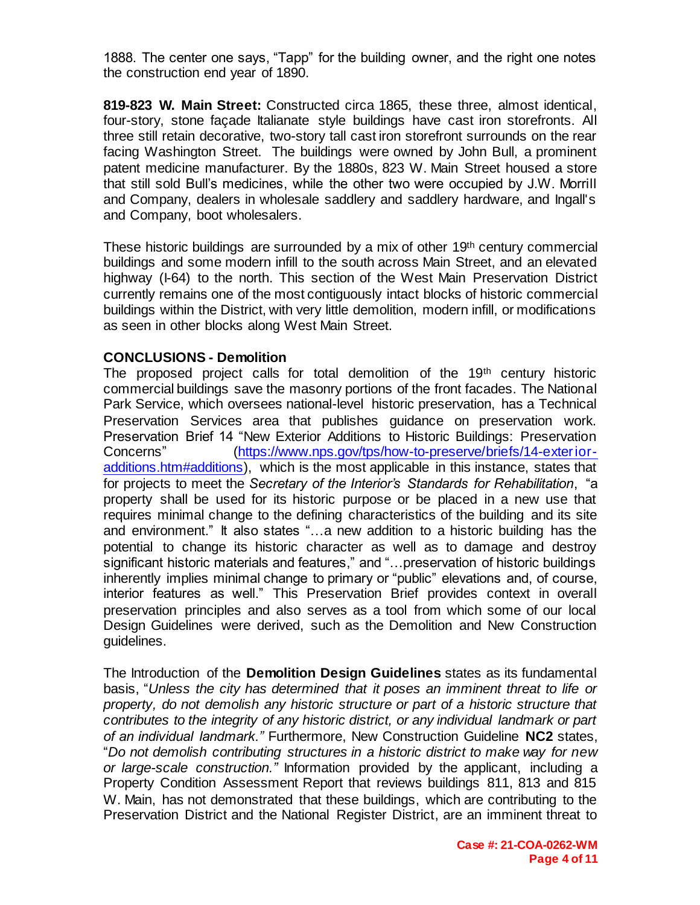1888. The center one says, "Tapp" for the building owner, and the right one notes the construction end year of 1890.

**819-823 W. Main Street:** Constructed circa 1865, these three, almost identical, four-story, stone façade Italianate style buildings have cast iron storefronts. All three still retain decorative, two-story tall cast iron storefront surrounds on the rear facing Washington Street. The buildings were owned by John Bull, a prominent patent medicine manufacturer. By the 1880s, 823 W. Main Street housed a store that still sold Bull's medicines, while the other two were occupied by J.W. Morrill and Company, dealers in wholesale saddlery and saddlery hardware, and Ingall's and Company, boot wholesalers.

These historic buildings are surrounded by a mix of other 19<sup>th</sup> century commercial buildings and some modern infill to the south across Main Street, and an elevated highway (I-64) to the north. This section of the West Main Preservation District currently remains one of the most contiguously intact blocks of historic commercial buildings within the District, with very little demolition, modern infill, or modifications as seen in other blocks along West Main Street.

#### **CONCLUSIONS - Demolition**

The proposed project calls for total demolition of the 19<sup>th</sup> century historic commercial buildings save the masonry portions of the front facades. The National Park Service, which oversees national-level historic preservation, has a Technical Preservation Services area that publishes guidance on preservation work. Preservation Brief 14 "New Exterior Additions to Historic Buildings: Preservation Concerns" [\(https://www.nps.gov/tps/how-to-preserve/briefs/14-exterior](https://www.nps.gov/tps/how-to-preserve/briefs/14-exterior-additions.htm#additions)[additions.htm#additions\),](https://www.nps.gov/tps/how-to-preserve/briefs/14-exterior-additions.htm#additions) which is the most applicable in this instance, states that for projects to meet the *Secretary of the Interior's Standards for Rehabilitation*, "a property shall be used for its historic purpose or be placed in a new use that requires minimal change to the defining characteristics of the building and its site and environment." It also states "…a new addition to a historic building has the potential to change its historic character as well as to damage and destroy significant historic materials and features," and "…preservation of historic buildings inherently implies minimal change to primary or "public" elevations and, of course, interior features as well." This Preservation Brief provides context in overall preservation principles and also serves as a tool from which some of our local Design Guidelines were derived, such as the Demolition and New Construction guidelines.

The Introduction of the **Demolition Design Guidelines** states as its fundamental basis, "*Unless the city has determined that it poses an imminent threat to life or property, do not demolish any historic structure or part of a historic structure that contributes to the integrity of any historic district, or any individual landmark or part of an individual landmark."* Furthermore, New Construction Guideline **NC2** states, "*Do not demolish contributing structures in a historic district to make way for new or large-scale construction."* Information provided by the applicant, including a Property Condition Assessment Report that reviews buildings 811, 813 and 815 W. Main, has not demonstrated that these buildings, which are contributing to the Preservation District and the National Register District, are an imminent threat to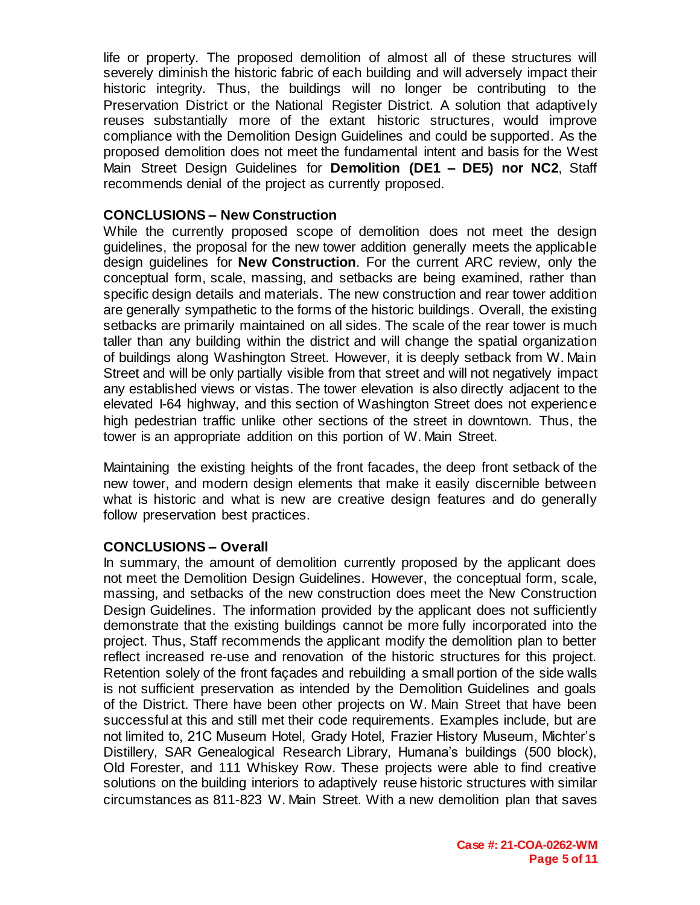life or property. The proposed demolition of almost all of these structures will severely diminish the historic fabric of each building and will adversely impact their historic integrity. Thus, the buildings will no longer be contributing to the Preservation District or the National Register District. A solution that adaptively reuses substantially more of the extant historic structures, would improve compliance with the Demolition Design Guidelines and could be supported. As the proposed demolition does not meet the fundamental intent and basis for the West Main Street Design Guidelines for **Demolition (DE1 – DE5) nor NC2**, Staff recommends denial of the project as currently proposed.

#### **CONCLUSIONS – New Construction**

While the currently proposed scope of demolition does not meet the design guidelines, the proposal for the new tower addition generally meets the applicable design guidelines for **New Construction**. For the current ARC review, only the conceptual form, scale, massing, and setbacks are being examined, rather than specific design details and materials. The new construction and rear tower addition are generally sympathetic to the forms of the historic buildings. Overall, the existing setbacks are primarily maintained on all sides. The scale of the rear tower is much taller than any building within the district and will change the spatial organization of buildings along Washington Street. However, it is deeply setback from W. Main Street and will be only partially visible from that street and will not negatively impact any established views or vistas. The tower elevation is also directly adjacent to the elevated I-64 highway, and this section of Washington Street does not experience high pedestrian traffic unlike other sections of the street in downtown. Thus, the tower is an appropriate addition on this portion of W. Main Street.

Maintaining the existing heights of the front facades, the deep front setback of the new tower, and modern design elements that make it easily discernible between what is historic and what is new are creative design features and do generally follow preservation best practices.

#### **CONCLUSIONS – Overall**

In summary, the amount of demolition currently proposed by the applicant does not meet the Demolition Design Guidelines. However, the conceptual form, scale, massing, and setbacks of the new construction does meet the New Construction Design Guidelines. The information provided by the applicant does not sufficiently demonstrate that the existing buildings cannot be more fully incorporated into the project. Thus, Staff recommends the applicant modify the demolition plan to better reflect increased re-use and renovation of the historic structures for this project. Retention solely of the front façades and rebuilding a small portion of the side walls is not sufficient preservation as intended by the Demolition Guidelines and goals of the District. There have been other projects on W. Main Street that have been successful at this and still met their code requirements. Examples include, but are not limited to, 21C Museum Hotel, Grady Hotel, Frazier History Museum, Michter's Distillery, SAR Genealogical Research Library, Humana's buildings (500 block), Old Forester, and 111 Whiskey Row. These projects were able to find creative solutions on the building interiors to adaptively reuse historic structures with similar circumstances as 811-823 W. Main Street. With a new demolition plan that saves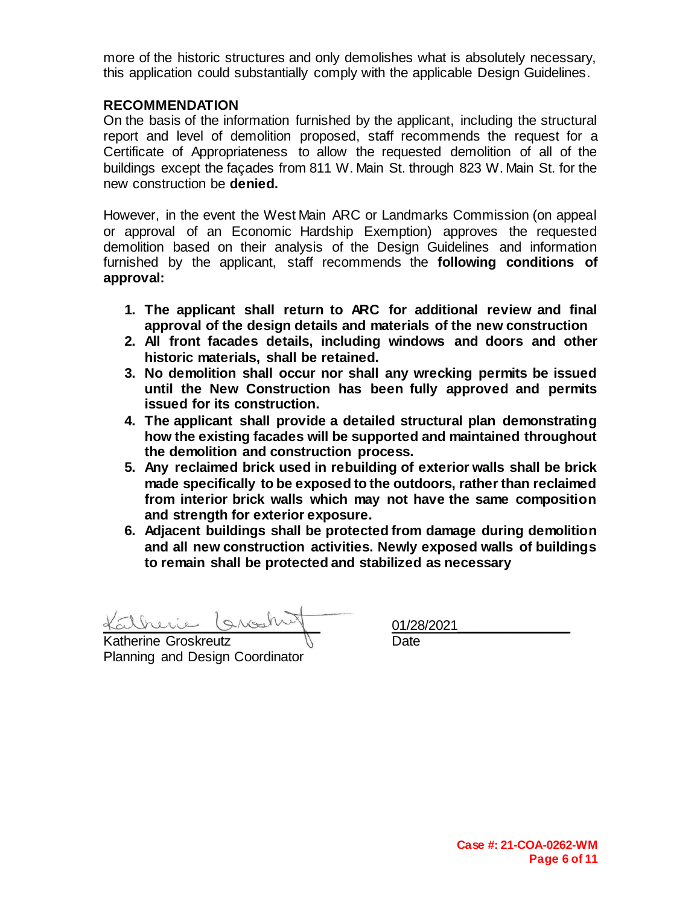more of the historic structures and only demolishes what is absolutely necessary, this application could substantially comply with the applicable Design Guidelines.

#### **RECOMMENDATION**

On the basis of the information furnished by the applicant, including the structural report and level of demolition proposed, staff recommends the request for a Certificate of Appropriateness to allow the requested demolition of all of the buildings except the façades from 811 W. Main St. through 823 W. Main St. for the new construction be **denied.**

However, in the event the West Main ARC or Landmarks Commission (on appeal or approval of an Economic Hardship Exemption) approves the requested demolition based on their analysis of the Design Guidelines and information furnished by the applicant, staff recommends the **following conditions of approval:**

- **1. The applicant shall return to ARC for additional review and final approval of the design details and materials of the new construction**
- **2. All front facades details, including windows and doors and other historic materials, shall be retained.**
- **3. No demolition shall occur nor shall any wrecking permits be issued until the New Construction has been fully approved and permits issued for its construction.**
- **4. The applicant shall provide a detailed structural plan demonstrating how the existing facades will be supported and maintained throughout the demolition and construction process.**
- **5. Any reclaimed brick used in rebuilding of exterior walls shall be brick made specifically to be exposed to the outdoors, rather than reclaimed from interior brick walls which may not have the same composition and strength for exterior exposure.**
- **6. Adjacent buildings shall be protected from damage during demolition and all new construction activities. Newly exposed walls of buildings to remain shall be protected and stabilized as necessary**

therine Groskreutz **Witter in Solution** Date

Planning and Design Coordinator

\_\_\_\_\_\_\_\_\_\_\_\_\_\_\_\_\_\_\_\_\_\_\_\_\_\_\_\_\_ 01/28/2021\_\_\_\_\_\_\_\_\_\_\_\_\_\_\_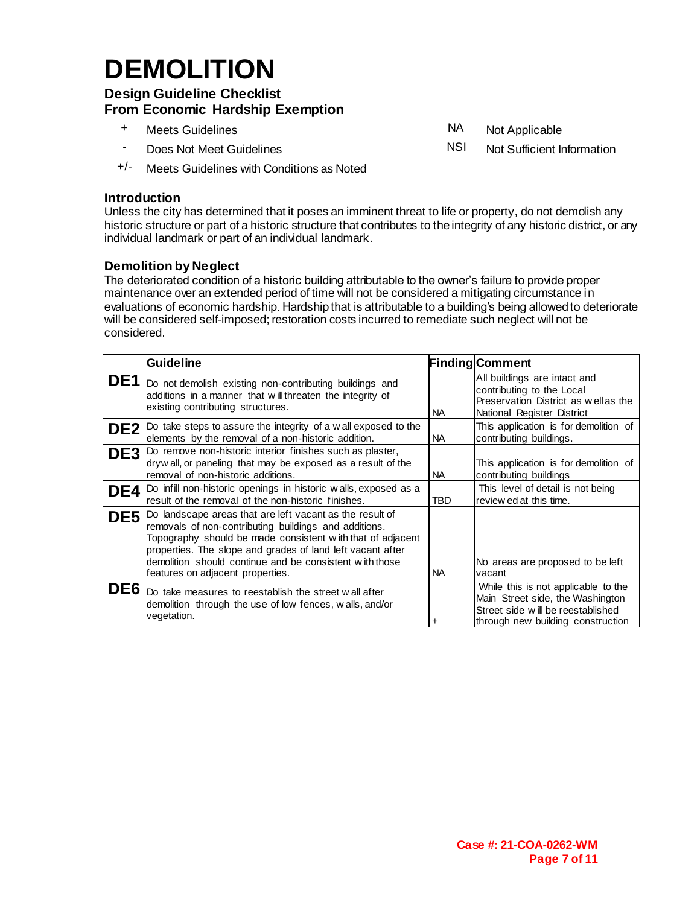## **DEMOLITION**

#### **Design Guideline Checklist From Economic Hardship Exemption**

- + Meets Guidelines NA Not Applicable
- 
- +/- Meets Guidelines with Conditions as Noted

#### **Introduction**

Unless the city has determined that it poses an imminent threat to life or property, do not demolish any historic structure or part of a historic structure that contributes to the integrity of any historic district, or any individual landmark or part of an individual landmark.

#### **Demolition by Neglect**

The deteriorated condition of a historic building attributable to the owner's failure to provide proper maintenance over an extended period of time will not be considered a mitigating circumstance in evaluations of economic hardship. Hardship that is attributable to a building's being allowed to deteriorate will be considered self-imposed; restoration costs incurred to remediate such neglect will not be considered.

| <b>Guideline</b>                                                                                                                                                                                                                                                                                                                                  |            | <b>Finding Comment</b>                                                                                                                            |
|---------------------------------------------------------------------------------------------------------------------------------------------------------------------------------------------------------------------------------------------------------------------------------------------------------------------------------------------------|------------|---------------------------------------------------------------------------------------------------------------------------------------------------|
| DE1 Do not demolish existing non-contributing buildings and<br>additions in a manner that will threaten the integrity of<br>existing contributing structures.                                                                                                                                                                                     | NA.        | All buildings are intact and<br>contributing to the Local<br>Preservation District as well as the<br>National Register District                   |
| DE2  Do take steps to assure the integrity of a w all exposed to the<br>elements by the removal of a non-historic addition.                                                                                                                                                                                                                       | <b>NA</b>  | This application is for demolition of<br>contributing buildings.                                                                                  |
| DE3  Do remove non-historic interior finishes such as plaster,<br>dryw all, or paneling that may be exposed as a result of the<br>removal of non-historic additions.                                                                                                                                                                              | NA         | This application is for demolition of<br>contributing buildings                                                                                   |
| DE4  Do infill non-historic openings in historic walls, exposed as a<br>result of the removal of the non-historic finishes.                                                                                                                                                                                                                       | <b>TBD</b> | This level of detail is not being<br>review ed at this time.                                                                                      |
| DE5  Do landscape areas that are left vacant as the result of<br>removals of non-contributing buildings and additions.<br>Topography should be made consistent with that of adjacent<br>properties. The slope and grades of land left vacant after<br>demolition should continue and be consistent with those<br>features on adjacent properties. | NA         | No areas are proposed to be left<br>vacant                                                                                                        |
| DE6 Do take measures to reestablish the street wall after<br>demolition through the use of low fences, walls, and/or<br>vegetation.                                                                                                                                                                                                               |            | While this is not applicable to the<br>Main Street side, the Washington<br>Street side will be reestablished<br>through new building construction |

- 
- Does Not Meet Guidelines NSI Not Sufficient Information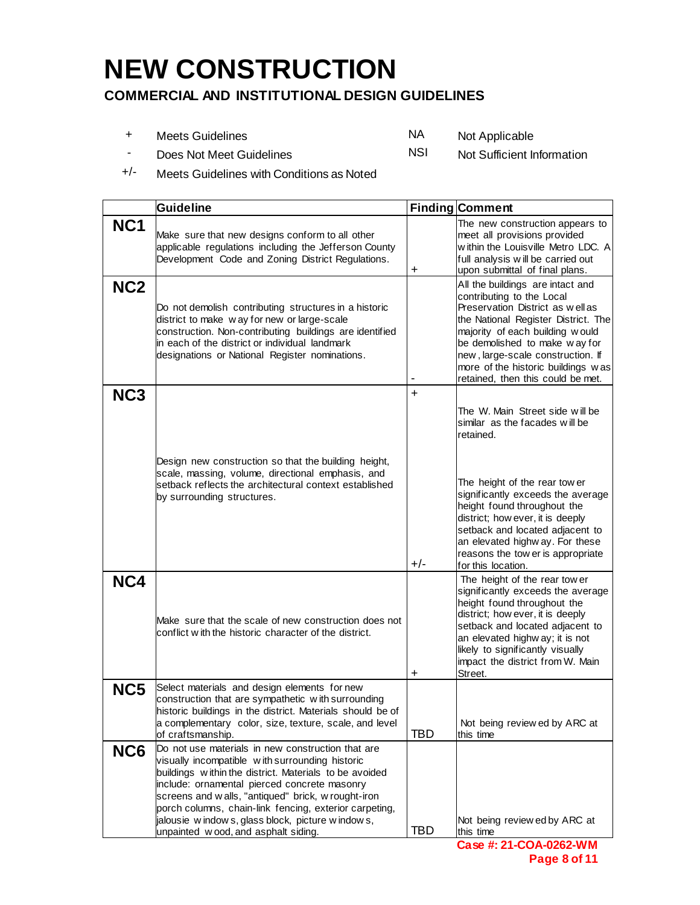# **NEW CONSTRUCTION**

#### **COMMERCIAL AND INSTITUTIONAL DESIGN GUIDELINES**

- + Meets Guidelines NA Not Applicable - Does Not Meet Guidelines NSI NSI Not Sufficient Information
- +/- Meets Guidelines with Conditions as Noted

|                 | <b>Guideline</b>                                                                                                                                                                                                                                                                                                                                                                                                            |           | <b>Finding Comment</b>                                                                                                                                                                                                                                                                                                       |
|-----------------|-----------------------------------------------------------------------------------------------------------------------------------------------------------------------------------------------------------------------------------------------------------------------------------------------------------------------------------------------------------------------------------------------------------------------------|-----------|------------------------------------------------------------------------------------------------------------------------------------------------------------------------------------------------------------------------------------------------------------------------------------------------------------------------------|
| NC <sub>1</sub> | Make sure that new designs conform to all other<br>applicable regulations including the Jefferson County<br>Development Code and Zoning District Regulations.                                                                                                                                                                                                                                                               | +         | The new construction appears to<br>meet all provisions provided<br>w ithin the Louisville Metro LDC. A<br>full analysis will be carried out<br>upon submittal of final plans.                                                                                                                                                |
| NC <sub>2</sub> | Do not demolish contributing structures in a historic<br>district to make way for new or large-scale<br>construction. Non-contributing buildings are identified<br>in each of the district or individual landmark<br>designations or National Register nominations.                                                                                                                                                         |           | All the buildings are intact and<br>contributing to the Local<br>Preservation District as well as<br>the National Register District. The<br>majority of each building would<br>be demolished to make way for<br>new, large-scale construction. If<br>more of the historic buildings was<br>retained, then this could be met. |
| NC <sub>3</sub> |                                                                                                                                                                                                                                                                                                                                                                                                                             | $\ddot{}$ | The W. Main Street side will be<br>similar as the facades will be<br>retained.                                                                                                                                                                                                                                               |
|                 | Design new construction so that the building height,<br>scale, massing, volume, directional emphasis, and<br>setback reflects the architectural context established<br>by surrounding structures.                                                                                                                                                                                                                           | $+/-$     | The height of the rear tow er<br>significantly exceeds the average<br>height found throughout the<br>district; how ever, it is deeply<br>setback and located adjacent to<br>an elevated highway. For these<br>reasons the tow er is appropriate<br>for this location.                                                        |
| NC4             | Make sure that the scale of new construction does not<br>conflict with the historic character of the district.                                                                                                                                                                                                                                                                                                              | $\ddot{}$ | The height of the rear tow er<br>significantly exceeds the average<br>height found throughout the<br>district; how ever, it is deeply<br>setback and located adjacent to<br>an elevated highway; it is not<br>likely to significantly visually<br>impact the district from W. Main<br>Street.                                |
| NC5             | Select materials and design elements for new<br>construction that are sympathetic with surrounding<br>historic buildings in the district. Materials should be of<br>a complementary color, size, texture, scale, and level<br>of craftsmanship.                                                                                                                                                                             | TBD       | Not being review ed by ARC at<br>this time                                                                                                                                                                                                                                                                                   |
| NC6             | Do not use materials in new construction that are<br>visually incompatible with surrounding historic<br>buildings within the district. Materials to be avoided<br>include: ornamental pierced concrete masonry<br>screens and w alls, "antiqued" brick, w rought-iron<br>porch columns, chain-link fencing, exterior carpeting,<br>jalousie w indows, glass block, picture w indows,<br>unpainted wood, and asphalt siding. | TBD       | Not being review ed by ARC at<br>this time<br><b>Daca #: 21-COA-0262-WM</b>                                                                                                                                                                                                                                                  |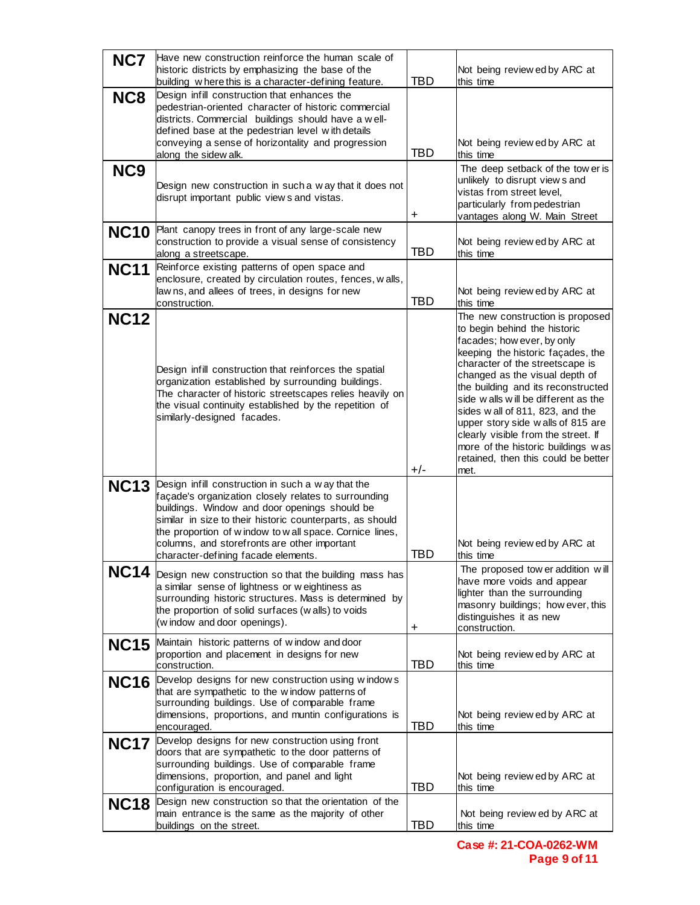| NC7             | Have new construction reinforce the human scale of<br>historic districts by emphasizing the base of the<br>building where this is a character-defining feature.                                                                                                                                                                                                                | <b>TBD</b> | Not being review ed by ARC at<br>this time                                                                                                                                                                                                                                                                                                                                                                                                                                                |
|-----------------|--------------------------------------------------------------------------------------------------------------------------------------------------------------------------------------------------------------------------------------------------------------------------------------------------------------------------------------------------------------------------------|------------|-------------------------------------------------------------------------------------------------------------------------------------------------------------------------------------------------------------------------------------------------------------------------------------------------------------------------------------------------------------------------------------------------------------------------------------------------------------------------------------------|
| NC8             | Design infill construction that enhances the<br>pedestrian-oriented character of historic commercial<br>districts. Commercial buildings should have a well-<br>defined base at the pedestrian level with details<br>conveying a sense of horizontality and progression<br>along the sidew alk.                                                                                 | TBD        | Not being review ed by ARC at<br>this time                                                                                                                                                                                                                                                                                                                                                                                                                                                |
| NC <sub>9</sub> | Design new construction in such a w ay that it does not<br>disrupt important public views and vistas.                                                                                                                                                                                                                                                                          | +          | The deep setback of the tow er is<br>unlikely to disrupt view s and<br>vistas from street level,<br>particularly from pedestrian<br>vantages along W. Main Street                                                                                                                                                                                                                                                                                                                         |
|                 | NC10 Plant canopy trees in front of any large-scale new<br>construction to provide a visual sense of consistency<br>along a streetscape.                                                                                                                                                                                                                                       | <b>TBD</b> | Not being review ed by ARC at<br>this time                                                                                                                                                                                                                                                                                                                                                                                                                                                |
| <b>NC11</b>     | Reinforce existing patterns of open space and<br>enclosure, created by circulation routes, fences, w alls,<br>lawns, and allees of trees, in designs for new<br>construction.                                                                                                                                                                                                  | <b>TBD</b> | Not being review ed by ARC at<br>this time                                                                                                                                                                                                                                                                                                                                                                                                                                                |
| <b>NC12</b>     | Design infill construction that reinforces the spatial<br>organization established by surrounding buildings.<br>The character of historic streetscapes relies heavily on<br>the visual continuity established by the repetition of<br>similarly-designed facades.                                                                                                              | $+/-$      | The new construction is proposed<br>to begin behind the historic<br>facades; how ever, by only<br>keeping the historic façades, the<br>character of the streetscape is<br>changed as the visual depth of<br>the building and its reconstructed<br>side walls will be different as the<br>sides wall of 811, 823, and the<br>upper story side walls of 815 are<br>clearly visible from the street. If<br>more of the historic buildings was<br>retained, then this could be better<br>met. |
|                 | NC13 Design infill construction in such a way that the<br>açade's organization closely relates to surrounding<br>buildings. Window and door openings should be<br>similar in size to their historic counterparts, as should<br>the proportion of w indow to w all space. Cornice lines,<br>columns, and storefronts are other important<br>character-defining facade elements. | TBD        | Not being review ed by ARC at<br>this time                                                                                                                                                                                                                                                                                                                                                                                                                                                |
|                 | NC14 Design new construction so that the building mass has<br>a similar sense of lightness or weightiness as<br>surrounding historic structures. Mass is determined by<br>the proportion of solid surfaces (walls) to voids<br>(window and door openings).                                                                                                                     | +          | The proposed tow er addition will<br>have more voids and appear<br>lighter than the surrounding<br>masonry buildings; how ever, this<br>distinguishes it as new<br>construction.                                                                                                                                                                                                                                                                                                          |
|                 | NC15 Maintain historic patterns of window and door<br>proportion and placement in designs for new<br>construction.                                                                                                                                                                                                                                                             | TBD        | Not being review ed by ARC at<br>this time                                                                                                                                                                                                                                                                                                                                                                                                                                                |
|                 | NC16 Develop designs for new construction using windows<br>that are sympathetic to the window patterns of<br>surrounding buildings. Use of comparable frame<br>dimensions, proportions, and muntin configurations is<br>encouraged.                                                                                                                                            | <b>TBD</b> | Not being review ed by ARC at<br>this time                                                                                                                                                                                                                                                                                                                                                                                                                                                |
| <b>NC17</b>     | Develop designs for new construction using front<br>doors that are sympathetic to the door patterns of<br>surrounding buildings. Use of comparable frame<br>dimensions, proportion, and panel and light<br>configuration is encouraged.                                                                                                                                        | <b>TBD</b> | Not being review ed by ARC at<br>this time                                                                                                                                                                                                                                                                                                                                                                                                                                                |
| <b>NC18</b>     | Design new construction so that the orientation of the<br>main entrance is the same as the majority of other<br>buildings on the street.                                                                                                                                                                                                                                       | TBD        | Not being review ed by ARC at<br>this time                                                                                                                                                                                                                                                                                                                                                                                                                                                |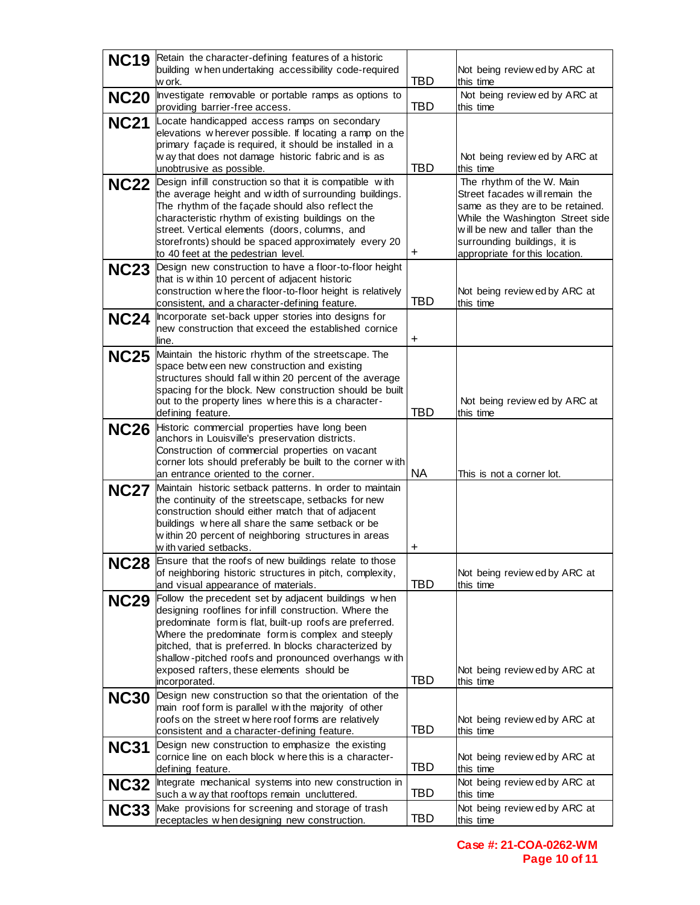| <b>NC19</b> | Retain the character-defining features of a historic<br>building when undertaking accessibility code-required                                                                                                                                                                                                                                                                 |            |                                                                                                                                                                                                                                          |
|-------------|-------------------------------------------------------------------------------------------------------------------------------------------------------------------------------------------------------------------------------------------------------------------------------------------------------------------------------------------------------------------------------|------------|------------------------------------------------------------------------------------------------------------------------------------------------------------------------------------------------------------------------------------------|
|             | w ork.                                                                                                                                                                                                                                                                                                                                                                        | <b>TBD</b> | Not being review ed by ARC at<br>this time                                                                                                                                                                                               |
| <b>NC20</b> | Investigate removable or portable ramps as options to<br>providing barrier-free access.                                                                                                                                                                                                                                                                                       | <b>TBD</b> | Not being review ed by ARC at<br>this time                                                                                                                                                                                               |
| <b>NC21</b> | Locate handicapped access ramps on secondary<br>elevations w herever possible. If locating a ramp on the                                                                                                                                                                                                                                                                      |            |                                                                                                                                                                                                                                          |
|             | primary façade is required, it should be installed in a<br>w ay that does not damage historic fabric and is as                                                                                                                                                                                                                                                                |            | Not being review ed by ARC at                                                                                                                                                                                                            |
|             | unobtrusive as possible.                                                                                                                                                                                                                                                                                                                                                      | TBD        | this time                                                                                                                                                                                                                                |
| <b>NC22</b> | Design infill construction so that it is compatible with<br>the average height and width of surrounding buildings.<br>The rhythm of the façade should also reflect the<br>characteristic rhythm of existing buildings on the<br>street. Vertical elements (doors, columns, and<br>storefronts) should be spaced approximately every 20<br>to 40 feet at the pedestrian level. | +          | The rhythm of the W. Main<br>Street facades will remain the<br>same as they are to be retained.<br>While the Washington Street side<br>will be new and taller than the<br>surrounding buildings, it is<br>appropriate for this location. |
|             | NC23 Design new construction to have a floor-to-floor height<br>that is within 10 percent of adjacent historic                                                                                                                                                                                                                                                                |            |                                                                                                                                                                                                                                          |
|             | construction w here the floor-to-floor height is relatively<br>consistent, and a character-defining feature.                                                                                                                                                                                                                                                                  | <b>TBD</b> | Not being review ed by ARC at<br>this time                                                                                                                                                                                               |
| <b>NC24</b> | Incorporate set-back upper stories into designs for<br>new construction that exceed the established cornice                                                                                                                                                                                                                                                                   |            |                                                                                                                                                                                                                                          |
|             | line.                                                                                                                                                                                                                                                                                                                                                                         | $\ddot{}$  |                                                                                                                                                                                                                                          |
|             | NC25 Maintain the historic rhythm of the streetscape. The<br>space betw een new construction and existing                                                                                                                                                                                                                                                                     |            |                                                                                                                                                                                                                                          |
|             | structures should fall within 20 percent of the average<br>spacing for the block. New construction should be built                                                                                                                                                                                                                                                            |            |                                                                                                                                                                                                                                          |
|             | out to the property lines w here this is a character-<br>defining feature.                                                                                                                                                                                                                                                                                                    | <b>TBD</b> | Not being review ed by ARC at<br>this time                                                                                                                                                                                               |
| <b>NC26</b> | Historic commercial properties have long been<br>anchors in Louisville's preservation districts.                                                                                                                                                                                                                                                                              |            |                                                                                                                                                                                                                                          |
|             | Construction of commercial properties on vacant                                                                                                                                                                                                                                                                                                                               |            |                                                                                                                                                                                                                                          |
|             | corner lots should preferably be built to the corner with<br>an entrance oriented to the corner.                                                                                                                                                                                                                                                                              | <b>NA</b>  | This is not a corner lot.                                                                                                                                                                                                                |
| <b>NC27</b> | Maintain historic setback patterns. In order to maintain<br>the continuity of the streetscape, setbacks for new                                                                                                                                                                                                                                                               |            |                                                                                                                                                                                                                                          |
|             | construction should either match that of adjacent                                                                                                                                                                                                                                                                                                                             |            |                                                                                                                                                                                                                                          |
|             | buildings where all share the same setback or be<br>w ithin 20 percent of neighboring structures in areas                                                                                                                                                                                                                                                                     |            |                                                                                                                                                                                                                                          |
|             | with varied setbacks.<br>Ensure that the roofs of new buildings relate to those                                                                                                                                                                                                                                                                                               | +          |                                                                                                                                                                                                                                          |
| <b>NC28</b> | of neighboring historic structures in pitch, complexity,                                                                                                                                                                                                                                                                                                                      | TBD        | Not being review ed by ARC at                                                                                                                                                                                                            |
| <b>NC29</b> | and visual appearance of materials.<br>Follow the precedent set by adjacent buildings when                                                                                                                                                                                                                                                                                    |            | this time                                                                                                                                                                                                                                |
|             | designing rooflines for infill construction. Where the<br>predominate form is flat, built-up roofs are preferred.                                                                                                                                                                                                                                                             |            |                                                                                                                                                                                                                                          |
|             | Where the predominate form is complex and steeply<br>pitched, that is preferred. In blocks characterized by                                                                                                                                                                                                                                                                   |            |                                                                                                                                                                                                                                          |
|             | shallow-pitched roofs and pronounced overhangs with                                                                                                                                                                                                                                                                                                                           |            |                                                                                                                                                                                                                                          |
|             | exposed rafters, these elements should be<br>incorporated.                                                                                                                                                                                                                                                                                                                    | TBD        | Not being review ed by ARC at<br>this time                                                                                                                                                                                               |
| <b>NC30</b> | Design new construction so that the orientation of the<br>main roof form is parallel with the majority of other                                                                                                                                                                                                                                                               |            |                                                                                                                                                                                                                                          |
|             | oofs on the street w here roof forms are relatively<br>consistent and a character-defining feature.                                                                                                                                                                                                                                                                           | TBD        | Not being review ed by ARC at<br>this time                                                                                                                                                                                               |
| <b>NC31</b> | Design new construction to emphasize the existing<br>cornice line on each block where this is a character-                                                                                                                                                                                                                                                                    |            |                                                                                                                                                                                                                                          |
|             | defining feature.                                                                                                                                                                                                                                                                                                                                                             | TBD        | Not being review ed by ARC at<br>this time                                                                                                                                                                                               |
| <b>NC32</b> | Integrate mechanical systems into new construction in<br>such a w ay that rooftops remain uncluttered.                                                                                                                                                                                                                                                                        | <b>TBD</b> | Not being review ed by ARC at<br>this time                                                                                                                                                                                               |
| <b>NC33</b> | Make provisions for screening and storage of trash<br>receptacles w hen designing new construction.                                                                                                                                                                                                                                                                           | TBD        | Not being review ed by ARC at<br>this time                                                                                                                                                                                               |